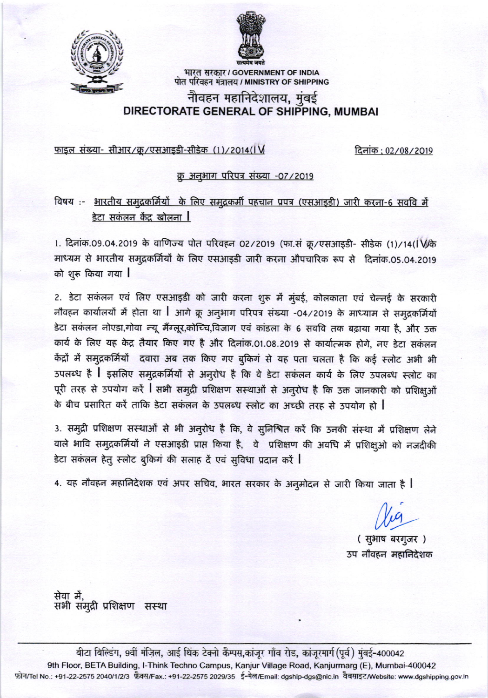



भारत सरकार / GOVERNMENT OF INDIA पोत परिवहन मंत्रालय / MINISTRY OF SHIPPING

# नौवहन महानिदेशालय, मुंबई DIRECTORATE GENERAL OF SHIPPING, MUMBAI

### <u>फाइल संख्या- सीआर/क्र/एसआइडी-सीडेक (1)/2014(IV</u>

दिनांक: 02/08/2019

#### क्र अनुभाग परिपत्र संख्या -07/2019

## विषय:- भारतीय समुद्रकर्मियों के लिए समुद्रकर्मी पहचान प्रपत्र (एसआइडी) जारी करना-6 सववि में डेटा सकंलन केंद्र खोलना $\|$

1. दिनांक.09.04.2019 के वाणिज्य पोत परिवहन 02/2019 (फा.सं क्रू/एसआइडी- सीडेक (1)/14(IV) के माध्यम से भारतीय समुद्रकर्मियों के लिए एसआइडी जारी करना औपचारिक रूप से दिनांक.05.04.2019 को शुरू किया गया ।

2. डेटा सकंलन एवं लिए एसआइडी को जारी करना शुरू में मुंबई, कोलकाता एवं चेन्नई के सरकारी नौवहन कार्यालयों में होता था । आगे क्रू अनुभाग परिपत्र संख्या -04/2019 के माध्याम से समुद्रकर्मियों डेटा सकंलन नोएडा,गोवा न्यू मैंग्लूर,कोच्चि,विजाग एवं कांडला के 6 सववि तक बढ़ाया गया है, और उक्त कार्य के लिए यह केंद्र तैयार किए गए है और दिनांक.01.08.2019 से कार्यात्मक होगे, नए डेटा सकंलन केंद्रों में समुद्रकर्मियों दवारा अब तक किए गए बुकिंग से यह पता चलता है कि कई स्लोट अभी भी उपलब्ध है । इसलिए समुद्रकर्मियों से अनुरोध है कि वे डेटा सकंलन कार्य के लिए उपलब्ध स्लोट का पूरी तरह से उपयोग करें । सभी समुद्री प्रशिक्षण सस्थाओं से अनुरोध है कि उक्त जानकारी को प्रशिक्षुओं के बीच प्रसारित करें ताकि डेटा सकंलन के उपलब्ध स्लोट का अच्छी तरह से उपयोग हो |

3. समुद्री प्रशिक्षण सस्थाओं से भी अनुरोध है कि, वे सुनिश्चित करें कि उनकी संस्था में प्रशिक्षण लेने वाले भावि समुद्रकर्मियों ने एसआइडी प्राप्त किया है, वे प्रशिक्षण की अवधि में प्रशिक्षुओं को नजदीकी डेटा सकंलन हेतू स्लोट बुकिंग की सलाह दें एवं सुविधा प्रदान करें ।

4. यह नौवहन महानिदेशक एवं अपर सचिव, भारत सरकार के अनुमोदन से जारी किया जाता है |

(सुभाष बरगुजर) उप नौवहन महानिदेशक

सेवा में. सभी समुद्री प्रशिक्षण सस्था

बीटा बिल्डिंग, 9वीं मंज़िल, आई थिंक टेक्नो कैम्पस,कांजूर गाँव रोड, कांजूरमार्ग(पूर्व) मुंबई-400042 9th Floor, BETA Building, I-Think Techno Campus, Kanjur Village Road, Kanjurmarg (E), Mumbai-400042 फ़ोन/Tel No.: +91-22-2575 2040/1/2/3 फ़ैक्स/Fax.: +91-22-2575 2029/35 ई-मेल/Email: dgship-dgs@nic.in वैबसाइट/Website: www.dgshipping.gov.in